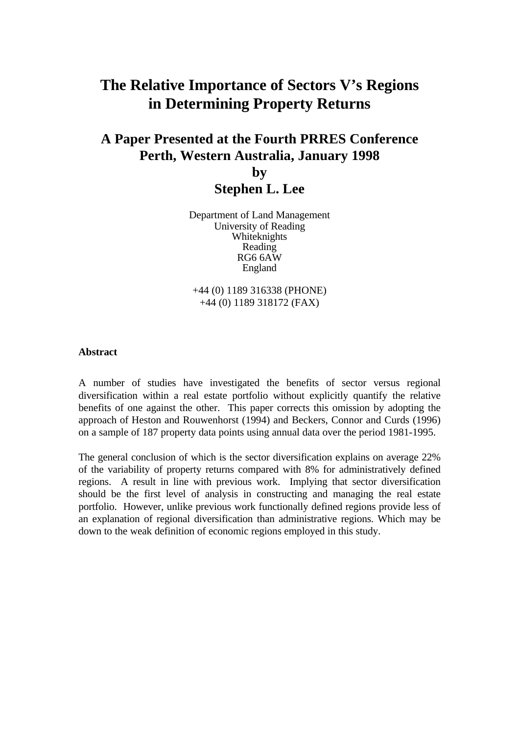# **The Relative Importance of Sectors V's Regions in Determining Property Returns**

# **A Paper Presented at the Fourth PRRES Conference Perth, Western Australia, January 1998**

**by Stephen L. Lee**

Department of Land Management University of Reading Whiteknights Reading RG6 6AW England

+44 (0) 1189 316338 (PHONE) +44 (0) 1189 318172 (FAX)

#### **Abstract**

A number of studies have investigated the benefits of sector versus regional diversification within a real estate portfolio without explicitly quantify the relative benefits of one against the other. This paper corrects this omission by adopting the approach of Heston and Rouwenhorst (1994) and Beckers, Connor and Curds (1996) on a sample of 187 property data points using annual data over the period 1981-1995.

The general conclusion of which is the sector diversification explains on average 22% of the variability of property returns compared with 8% for administratively defined regions. A result in line with previous work. Implying that sector diversification should be the first level of analysis in constructing and managing the real estate portfolio. However, unlike previous work functionally defined regions provide less of an explanation of regional diversification than administrative regions. Which may be down to the weak definition of economic regions employed in this study.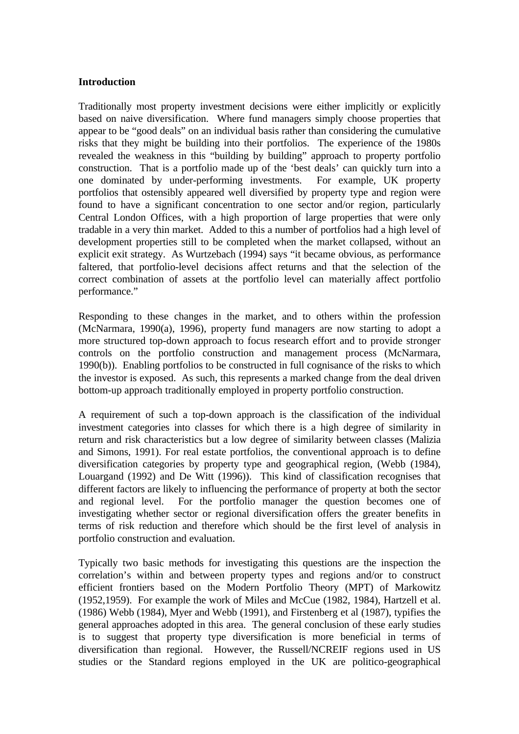#### **Introduction**

Traditionally most property investment decisions were either implicitly or explicitly based on naive diversification. Where fund managers simply choose properties that appear to be "good deals" on an individual basis rather than considering the cumulative risks that they might be building into their portfolios. The experience of the 1980s revealed the weakness in this "building by building" approach to property portfolio construction. That is a portfolio made up of the 'best deals' can quickly turn into a one dominated by under-performing investments. For example, UK property portfolios that ostensibly appeared well diversified by property type and region were found to have a significant concentration to one sector and/or region, particularly Central London Offices, with a high proportion of large properties that were only tradable in a very thin market. Added to this a number of portfolios had a high level of development properties still to be completed when the market collapsed, without an explicit exit strategy. As Wurtzebach (1994) says "it became obvious, as performance faltered, that portfolio-level decisions affect returns and that the selection of the correct combination of assets at the portfolio level can materially affect portfolio performance."

Responding to these changes in the market, and to others within the profession (McNarmara, 1990(a), 1996), property fund managers are now starting to adopt a more structured top-down approach to focus research effort and to provide stronger controls on the portfolio construction and management process (McNarmara, 1990(b)). Enabling portfolios to be constructed in full cognisance of the risks to which the investor is exposed. As such, this represents a marked change from the deal driven bottom-up approach traditionally employed in property portfolio construction.

A requirement of such a top-down approach is the classification of the individual investment categories into classes for which there is a high degree of similarity in return and risk characteristics but a low degree of similarity between classes (Malizia and Simons, 1991). For real estate portfolios, the conventional approach is to define diversification categories by property type and geographical region, (Webb (1984), Louargand (1992) and De Witt (1996)). This kind of classification recognises that different factors are likely to influencing the performance of property at both the sector and regional level. For the portfolio manager the question becomes one of investigating whether sector or regional diversification offers the greater benefits in terms of risk reduction and therefore which should be the first level of analysis in portfolio construction and evaluation.

Typically two basic methods for investigating this questions are the inspection the correlation's within and between property types and regions and/or to construct efficient frontiers based on the Modern Portfolio Theory (MPT) of Markowitz (1952,1959). For example the work of Miles and McCue (1982, 1984), Hartzell et al. (1986) Webb (1984), Myer and Webb (1991), and Firstenberg et al (1987), typifies the general approaches adopted in this area. The general conclusion of these early studies is to suggest that property type diversification is more beneficial in terms of diversification than regional. However, the Russell/NCREIF regions used in US studies or the Standard regions employed in the UK are politico-geographical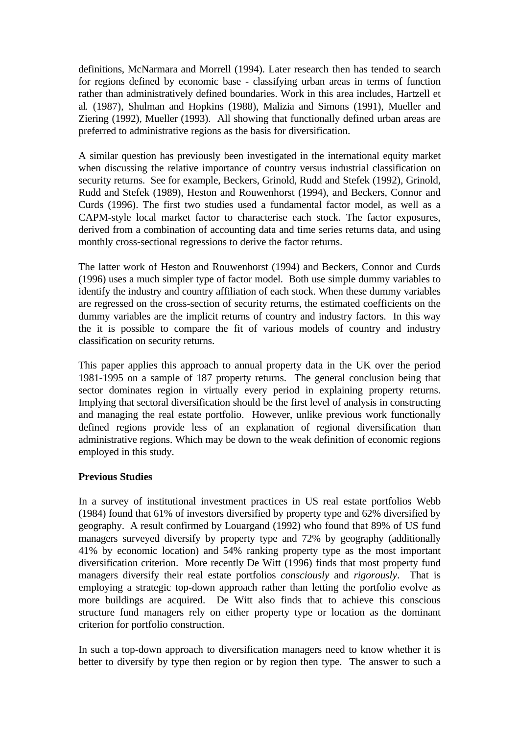definitions, McNarmara and Morrell (1994). Later research then has tended to search for regions defined by economic base - classifying urban areas in terms of function rather than administratively defined boundaries. Work in this area includes, Hartzell et al*.* (1987), Shulman and Hopkins (1988), Malizia and Simons (1991), Mueller and Ziering (1992), Mueller (1993). All showing that functionally defined urban areas are preferred to administrative regions as the basis for diversification.

A similar question has previously been investigated in the international equity market when discussing the relative importance of country versus industrial classification on security returns. See for example, Beckers, Grinold, Rudd and Stefek (1992), Grinold, Rudd and Stefek (1989), Heston and Rouwenhorst (1994), and Beckers, Connor and Curds (1996). The first two studies used a fundamental factor model, as well as a CAPM-style local market factor to characterise each stock. The factor exposures, derived from a combination of accounting data and time series returns data, and using monthly cross-sectional regressions to derive the factor returns.

The latter work of Heston and Rouwenhorst (1994) and Beckers, Connor and Curds (1996) uses a much simpler type of factor model. Both use simple dummy variables to identify the industry and country affiliation of each stock. When these dummy variables are regressed on the cross-section of security returns, the estimated coefficients on the dummy variables are the implicit returns of country and industry factors. In this way the it is possible to compare the fit of various models of country and industry classification on security returns.

This paper applies this approach to annual property data in the UK over the period 1981-1995 on a sample of 187 property returns. The general conclusion being that sector dominates region in virtually every period in explaining property returns. Implying that sectoral diversification should be the first level of analysis in constructing and managing the real estate portfolio. However, unlike previous work functionally defined regions provide less of an explanation of regional diversification than administrative regions. Which may be down to the weak definition of economic regions employed in this study.

## **Previous Studies**

In a survey of institutional investment practices in US real estate portfolios Webb (1984) found that 61% of investors diversified by property type and 62% diversified by geography. A result confirmed by Louargand (1992) who found that 89% of US fund managers surveyed diversify by property type and 72% by geography (additionally 41% by economic location) and 54% ranking property type as the most important diversification criterion. More recently De Witt (1996) finds that most property fund managers diversify their real estate portfolios *consciously* and *rigorously*. That is employing a strategic top-down approach rather than letting the portfolio evolve as more buildings are acquired. De Witt also finds that to achieve this conscious structure fund managers rely on either property type or location as the dominant criterion for portfolio construction.

In such a top-down approach to diversification managers need to know whether it is better to diversify by type then region or by region then type. The answer to such a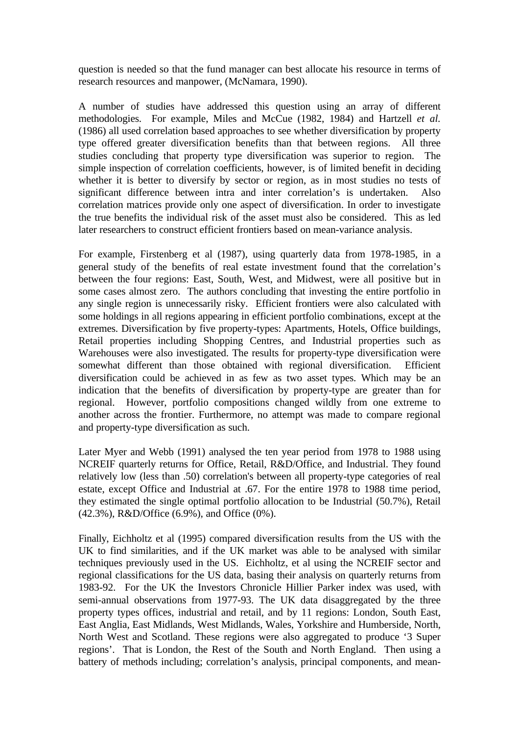question is needed so that the fund manager can best allocate his resource in terms of research resources and manpower, (McNamara, 1990).

A number of studies have addressed this question using an array of different methodologies. For example, Miles and McCue (1982, 1984) and Hartzell *et al.* (1986) all used correlation based approaches to see whether diversification by property type offered greater diversification benefits than that between regions. All three studies concluding that property type diversification was superior to region. The simple inspection of correlation coefficients, however, is of limited benefit in deciding whether it is better to diversify by sector or region, as in most studies no tests of significant difference between intra and inter correlation's is undertaken. Also correlation matrices provide only one aspect of diversification. In order to investigate the true benefits the individual risk of the asset must also be considered. This as led later researchers to construct efficient frontiers based on mean-variance analysis.

For example, Firstenberg et al (1987), using quarterly data from 1978-1985, in a general study of the benefits of real estate investment found that the correlation's between the four regions: East, South, West, and Midwest, were all positive but in some cases almost zero. The authors concluding that investing the entire portfolio in any single region is unnecessarily risky. Efficient frontiers were also calculated with some holdings in all regions appearing in efficient portfolio combinations, except at the extremes. Diversification by five property-types: Apartments, Hotels, Office buildings, Retail properties including Shopping Centres, and Industrial properties such as Warehouses were also investigated. The results for property-type diversification were somewhat different than those obtained with regional diversification. Efficient diversification could be achieved in as few as two asset types. Which may be an indication that the benefits of diversification by property-type are greater than for regional. However, portfolio compositions changed wildly from one extreme to another across the frontier. Furthermore, no attempt was made to compare regional and property-type diversification as such.

Later Myer and Webb (1991) analysed the ten year period from 1978 to 1988 using NCREIF quarterly returns for Office, Retail, R&D/Office, and Industrial. They found relatively low (less than .50) correlation's between all property-type categories of real estate, except Office and Industrial at .67. For the entire 1978 to 1988 time period, they estimated the single optimal portfolio allocation to be Industrial (50.7%), Retail (42.3%), R&D/Office (6.9%), and Office (0%).

Finally, Eichholtz et al (1995) compared diversification results from the US with the UK to find similarities, and if the UK market was able to be analysed with similar techniques previously used in the US. Eichholtz, et al using the NCREIF sector and regional classifications for the US data, basing their analysis on quarterly returns from 1983-92. For the UK the Investors Chronicle Hillier Parker index was used, with semi-annual observations from 1977-93. The UK data disaggregated by the three property types offices, industrial and retail, and by 11 regions: London, South East, East Anglia, East Midlands, West Midlands, Wales, Yorkshire and Humberside, North, North West and Scotland. These regions were also aggregated to produce '3 Super regions'. That is London, the Rest of the South and North England. Then using a battery of methods including; correlation's analysis, principal components, and mean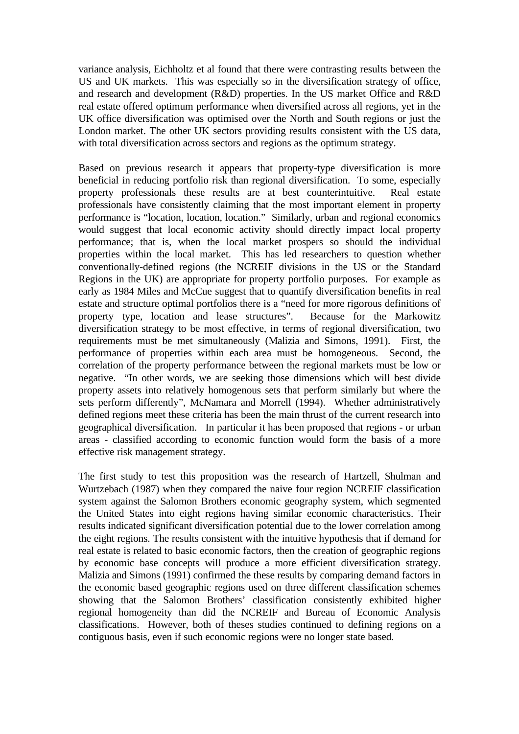variance analysis, Eichholtz et al found that there were contrasting results between the US and UK markets. This was especially so in the diversification strategy of office, and research and development (R&D) properties. In the US market Office and R&D real estate offered optimum performance when diversified across all regions, yet in the UK office diversification was optimised over the North and South regions or just the London market. The other UK sectors providing results consistent with the US data, with total diversification across sectors and regions as the optimum strategy.

Based on previous research it appears that property-type diversification is more beneficial in reducing portfolio risk than regional diversification. To some, especially property professionals these results are at best counterintuitive. Real estate professionals have consistently claiming that the most important element in property performance is "location, location, location." Similarly, urban and regional economics would suggest that local economic activity should directly impact local property performance; that is, when the local market prospers so should the individual properties within the local market. This has led researchers to question whether conventionally-defined regions (the NCREIF divisions in the US or the Standard Regions in the UK) are appropriate for property portfolio purposes. For example as early as 1984 Miles and McCue suggest that to quantify diversification benefits in real estate and structure optimal portfolios there is a "need for more rigorous definitions of property type, location and lease structures". Because for the Markowitz diversification strategy to be most effective, in terms of regional diversification, two requirements must be met simultaneously (Malizia and Simons, 1991). First, the performance of properties within each area must be homogeneous. Second, the correlation of the property performance between the regional markets must be low or negative. "In other words, we are seeking those dimensions which will best divide property assets into relatively homogenous sets that perform similarly but where the sets perform differently", McNamara and Morrell (1994). Whether administratively defined regions meet these criteria has been the main thrust of the current research into geographical diversification. In particular it has been proposed that regions - or urban areas - classified according to economic function would form the basis of a more effective risk management strategy.

The first study to test this proposition was the research of Hartzell, Shulman and Wurtzebach (1987) when they compared the naive four region NCREIF classification system against the Salomon Brothers economic geography system, which segmented the United States into eight regions having similar economic characteristics. Their results indicated significant diversification potential due to the lower correlation among the eight regions. The results consistent with the intuitive hypothesis that if demand for real estate is related to basic economic factors, then the creation of geographic regions by economic base concepts will produce a more efficient diversification strategy. Malizia and Simons (1991) confirmed the these results by comparing demand factors in the economic based geographic regions used on three different classification schemes showing that the Salomon Brothers' classification consistently exhibited higher regional homogeneity than did the NCREIF and Bureau of Economic Analysis classifications. However, both of theses studies continued to defining regions on a contiguous basis, even if such economic regions were no longer state based.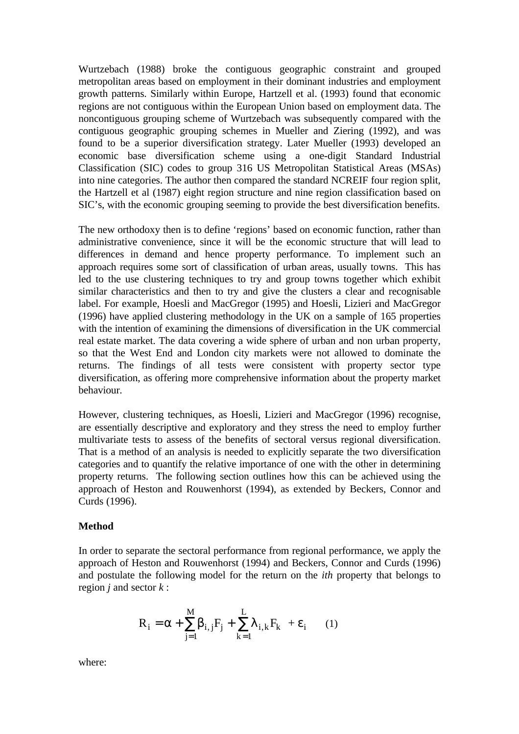Wurtzebach (1988) broke the contiguous geographic constraint and grouped metropolitan areas based on employment in their dominant industries and employment growth patterns. Similarly within Europe, Hartzell et al. (1993) found that economic regions are not contiguous within the European Union based on employment data. The noncontiguous grouping scheme of Wurtzebach was subsequently compared with the contiguous geographic grouping schemes in Mueller and Ziering (1992), and was found to be a superior diversification strategy. Later Mueller (1993) developed an economic base diversification scheme using a one-digit Standard Industrial Classification (SIC) codes to group 316 US Metropolitan Statistical Areas (MSAs) into nine categories. The author then compared the standard NCREIF four region split, the Hartzell et al (1987) eight region structure and nine region classification based on SIC's, with the economic grouping seeming to provide the best diversification benefits.

The new orthodoxy then is to define 'regions' based on economic function, rather than administrative convenience, since it will be the economic structure that will lead to differences in demand and hence property performance. To implement such an approach requires some sort of classification of urban areas, usually towns. This has led to the use clustering techniques to try and group towns together which exhibit similar characteristics and then to try and give the clusters a clear and recognisable label. For example, Hoesli and MacGregor (1995) and Hoesli, Lizieri and MacGregor (1996) have applied clustering methodology in the UK on a sample of 165 properties with the intention of examining the dimensions of diversification in the UK commercial real estate market. The data covering a wide sphere of urban and non urban property, so that the West End and London city markets were not allowed to dominate the returns. The findings of all tests were consistent with property sector type diversification, as offering more comprehensive information about the property market behaviour.

However, clustering techniques, as Hoesli, Lizieri and MacGregor (1996) recognise, are essentially descriptive and exploratory and they stress the need to employ further multivariate tests to assess of the benefits of sectoral versus regional diversification. That is a method of an analysis is needed to explicitly separate the two diversification categories and to quantify the relative importance of one with the other in determining property returns. The following section outlines how this can be achieved using the approach of Heston and Rouwenhorst (1994), as extended by Beckers, Connor and Curds (1996).

#### **Method**

In order to separate the sectoral performance from regional performance, we apply the approach of Heston and Rouwenhorst (1994) and Beckers, Connor and Curds (1996) and postulate the following model for the return on the *ith* property that belongs to region *j* and sector *k* :

$$
R_i = \alpha + \sum_{j=1}^{M} \beta_{i,j} F_j + \sum_{k=1}^{L} \lambda_{i,k} F_k + \varepsilon_i \qquad (1)
$$

where: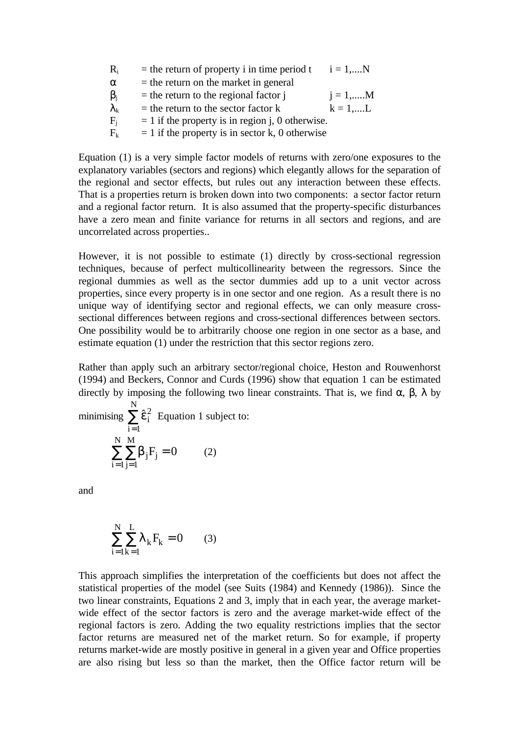| $R_i$             | $=$ the return of property i in time period t      | $i = 1,N$        |
|-------------------|----------------------------------------------------|------------------|
| $\alpha$          | $=$ the return on the market in general            |                  |
| $\beta_i$         | $=$ the return to the regional factor $\mathbf{i}$ | $i = 1, \dots M$ |
| $\lambda_{\rm k}$ | $=$ the return to the sector factor k              | $k = 1,L$        |
| $F_i$             | $= 1$ if the property is in region j, 0 otherwise. |                  |
| $F_k$             | $= 1$ if the property is in sector k, 0 otherwise  |                  |

Equation (1) is a very simple factor models of returns with zero/one exposures to the explanatory variables (sectors and regions) which elegantly allows for the separation of the regional and sector effects, but rules out any interaction between these effects. That is a properties return is broken down into two components: a sector factor return and a regional factor return. It is also assumed that the property-specific disturbances have a zero mean and finite variance for returns in all sectors and regions, and are uncorrelated across properties..

However, it is not possible to estimate (1) directly by cross-sectional regression techniques, because of perfect multicollinearity between the regressors. Since the regional dummies as well as the sector dummies add up to a unit vector across properties, since every property is in one sector and one region. As a result there is no unique way of identifying sector and regional effects, we can only measure crosssectional differences between regions and cross-sectional differences between sectors. One possibility would be to arbitrarily choose one region in one sector as a base, and estimate equation (1) under the restriction that this sector regions zero.

Rather than apply such an arbitrary sector/regional choice, Heston and Rouwenhorst (1994) and Beckers, Connor and Curds (1996) show that equation 1 can be estimated directly by imposing the following two linear constraints. That is, we find  $\alpha$ ,  $\beta$ ,  $\lambda$  by

minimising  $\sum \hat{\epsilon}_{i}^2$ i  $\sum_{n=1}^{N}$ =1  $\sum \hat{\epsilon}_i^2$  Equation 1 subject to:  $\beta_j$ j M i N  $\mathrm{F_{j}}$  $= 1$ j=  $\sum \sum \beta_j F_j =$  $1 j=1$  $0 (2)$ 

and

$$
\sum_{i=1}^{N} \sum_{k=1}^{L} \lambda_k F_k = 0 \qquad (3)
$$

This approach simplifies the interpretation of the coefficients but does not affect the statistical properties of the model (see Suits (1984) and Kennedy (1986)). Since the two linear constraints, Equations 2 and 3, imply that in each year, the average marketwide effect of the sector factors is zero and the average market-wide effect of the regional factors is zero. Adding the two equality restrictions implies that the sector factor returns are measured net of the market return. So for example, if property returns market-wide are mostly positive in general in a given year and Office properties are also rising but less so than the market, then the Office factor return will be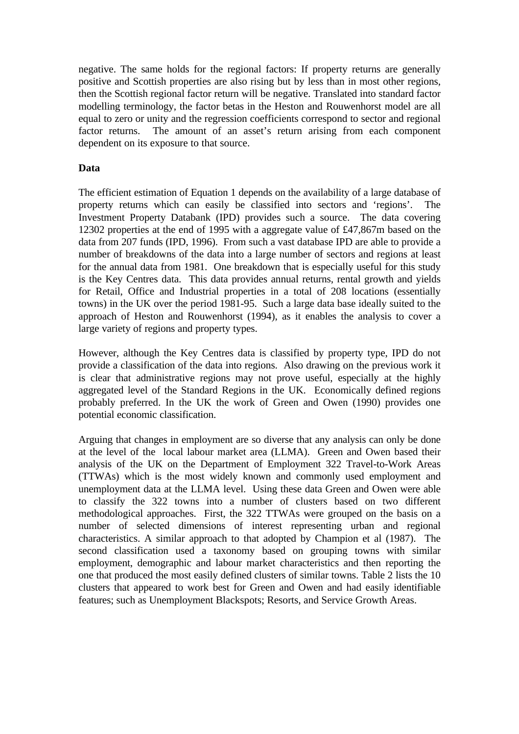negative. The same holds for the regional factors: If property returns are generally positive and Scottish properties are also rising but by less than in most other regions, then the Scottish regional factor return will be negative. Translated into standard factor modelling terminology, the factor betas in the Heston and Rouwenhorst model are all equal to zero or unity and the regression coefficients correspond to sector and regional factor returns. The amount of an asset's return arising from each component dependent on its exposure to that source.

## **Data**

The efficient estimation of Equation 1 depends on the availability of a large database of property returns which can easily be classified into sectors and 'regions'. The Investment Property Databank (IPD) provides such a source. The data covering 12302 properties at the end of 1995 with a aggregate value of £47,867m based on the data from 207 funds (IPD, 1996). From such a vast database IPD are able to provide a number of breakdowns of the data into a large number of sectors and regions at least for the annual data from 1981. One breakdown that is especially useful for this study is the Key Centres data. This data provides annual returns, rental growth and yields for Retail, Office and Industrial properties in a total of 208 locations (essentially towns) in the UK over the period 1981-95. Such a large data base ideally suited to the approach of Heston and Rouwenhorst (1994), as it enables the analysis to cover a large variety of regions and property types.

However, although the Key Centres data is classified by property type, IPD do not provide a classification of the data into regions. Also drawing on the previous work it is clear that administrative regions may not prove useful, especially at the highly aggregated level of the Standard Regions in the UK. Economically defined regions probably preferred. In the UK the work of Green and Owen (1990) provides one potential economic classification.

Arguing that changes in employment are so diverse that any analysis can only be done at the level of the local labour market area (LLMA). Green and Owen based their analysis of the UK on the Department of Employment 322 Travel-to-Work Areas (TTWAs) which is the most widely known and commonly used employment and unemployment data at the LLMA level. Using these data Green and Owen were able to classify the 322 towns into a number of clusters based on two different methodological approaches. First, the 322 TTWAs were grouped on the basis on a number of selected dimensions of interest representing urban and regional characteristics. A similar approach to that adopted by Champion et al (1987). The second classification used a taxonomy based on grouping towns with similar employment, demographic and labour market characteristics and then reporting the one that produced the most easily defined clusters of similar towns. Table 2 lists the 10 clusters that appeared to work best for Green and Owen and had easily identifiable features; such as Unemployment Blackspots; Resorts, and Service Growth Areas.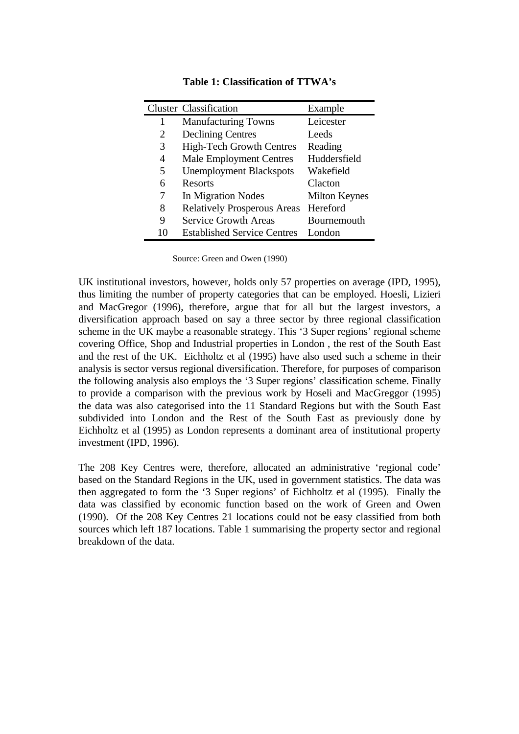|   | <b>Cluster Classification</b>      | Example              |
|---|------------------------------------|----------------------|
| 1 | <b>Manufacturing Towns</b>         | Leicester            |
| 2 | <b>Declining Centres</b>           | Leeds                |
| 3 | <b>High-Tech Growth Centres</b>    | Reading              |
| 4 | <b>Male Employment Centres</b>     | Huddersfield         |
| 5 | <b>Unemployment Blackspots</b>     | Wakefield            |
| 6 | Resorts                            | Clacton              |
| 7 | In Migration Nodes                 | <b>Milton Keynes</b> |
| 8 | <b>Relatively Prosperous Areas</b> | Hereford             |
| 9 | <b>Service Growth Areas</b>        | Bournemouth          |
|   | <b>Established Service Centres</b> | London               |

**Table 1: Classification of TTWA's**

Source: Green and Owen (1990)

UK institutional investors, however, holds only 57 properties on average (IPD, 1995), thus limiting the number of property categories that can be employed. Hoesli, Lizieri and MacGregor (1996), therefore, argue that for all but the largest investors, a diversification approach based on say a three sector by three regional classification scheme in the UK maybe a reasonable strategy. This '3 Super regions' regional scheme covering Office, Shop and Industrial properties in London , the rest of the South East and the rest of the UK. Eichholtz et al (1995) have also used such a scheme in their analysis is sector versus regional diversification. Therefore, for purposes of comparison the following analysis also employs the '3 Super regions' classification scheme. Finally to provide a comparison with the previous work by Hoseli and MacGreggor (1995) the data was also categorised into the 11 Standard Regions but with the South East subdivided into London and the Rest of the South East as previously done by Eichholtz et al (1995) as London represents a dominant area of institutional property investment (IPD, 1996).

The 208 Key Centres were, therefore, allocated an administrative 'regional code' based on the Standard Regions in the UK, used in government statistics. The data was then aggregated to form the '3 Super regions' of Eichholtz et al (1995). Finally the data was classified by economic function based on the work of Green and Owen (1990). Of the 208 Key Centres 21 locations could not be easy classified from both sources which left 187 locations. Table 1 summarising the property sector and regional breakdown of the data.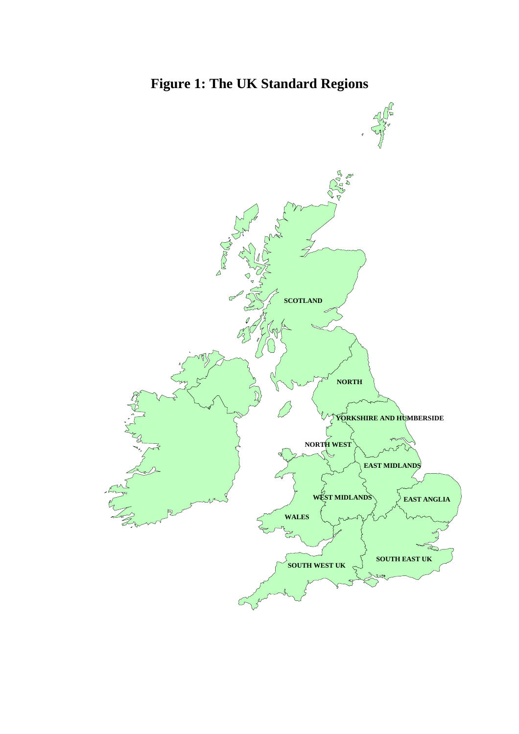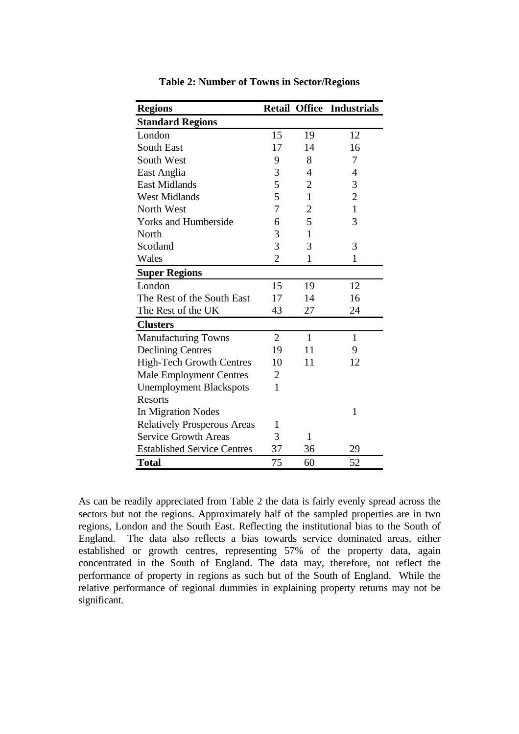| <b>Regions</b>                     |                |                | <b>Retail Office Industrials</b> |
|------------------------------------|----------------|----------------|----------------------------------|
| <b>Standard Regions</b>            |                |                |                                  |
| London                             | 15             | 19             | 12                               |
| <b>South East</b>                  | 17             | 14             | 16                               |
| <b>South West</b>                  | 9              | 8              | 7                                |
| East Anglia                        | 3              | 4              | $\overline{4}$                   |
| <b>East Midlands</b>               | 5              | $\overline{2}$ | 3                                |
| <b>West Midlands</b>               | 5              | $\mathbf{1}$   | $\overline{c}$                   |
| North West                         | 7              | $\overline{c}$ | $\mathbf{1}$                     |
| <b>Yorks and Humberside</b>        | 6              | 5              | 3                                |
| North                              | 3              | $\mathbf{1}$   |                                  |
| Scotland                           | 3              | 3              | 3                                |
| Wales                              | $\overline{2}$ | 1              | 1                                |
| <b>Super Regions</b>               |                |                |                                  |
| London                             | 15             | 19             | 12                               |
| The Rest of the South East         | 17             | 14             | 16                               |
| The Rest of the UK                 | 43             | 27             | 24                               |
| <b>Clusters</b>                    |                |                |                                  |
| <b>Manufacturing Towns</b>         | $\overline{2}$ | $\mathbf{1}$   | 1                                |
| <b>Declining Centres</b>           | 19             | 11             | 9                                |
| <b>High-Tech Growth Centres</b>    | 10             | 11             | 12                               |
| <b>Male Employment Centres</b>     | 2              |                |                                  |
| <b>Unemployment Blackspots</b>     | 1              |                |                                  |
| <b>Resorts</b>                     |                |                |                                  |
| In Migration Nodes                 |                |                | 1                                |
| <b>Relatively Prosperous Areas</b> | $\mathbf{1}$   |                |                                  |
| <b>Service Growth Areas</b>        | 3              | 1              |                                  |
| <b>Established Service Centres</b> | 37             | 36             | 29                               |
| <b>Total</b>                       | 75             | 60             | 52                               |

**Table 2: Number of Towns in Sector/Regions**

As can be readily appreciated from Table 2 the data is fairly evenly spread across the sectors but not the regions. Approximately half of the sampled properties are in two regions, London and the South East. Reflecting the institutional bias to the South of England. The data also reflects a bias towards service dominated areas, either established or growth centres, representing 57% of the property data, again concentrated in the South of England. The data may, therefore, not reflect the performance of property in regions as such but of the South of England. While the relative performance of regional dummies in explaining property returns may not be significant.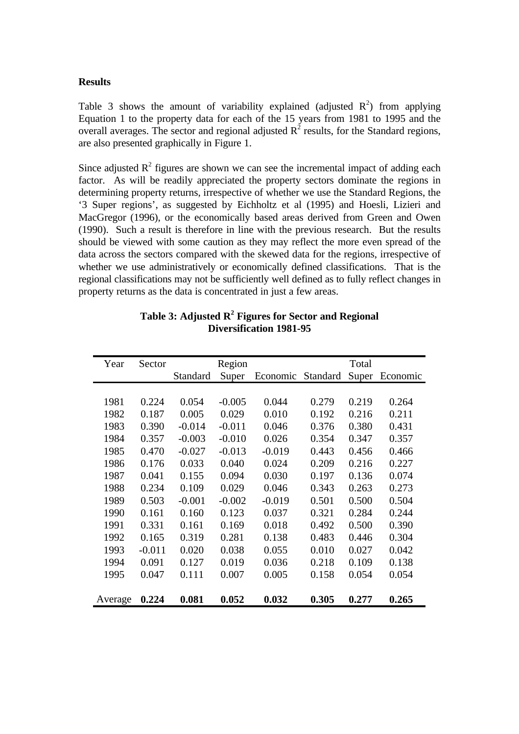#### **Results**

Table 3 shows the amount of variability explained (adjusted  $R^2$ ) from applying Equation 1 to the property data for each of the 15 years from 1981 to 1995 and the overall averages. The sector and regional adjusted  $R^2$  results, for the Standard regions, are also presented graphically in Figure 1.

Since adjusted  $R^2$  figures are shown we can see the incremental impact of adding each factor. As will be readily appreciated the property sectors dominate the regions in determining property returns, irrespective of whether we use the Standard Regions, the '3 Super regions', as suggested by Eichholtz et al (1995) and Hoesli, Lizieri and MacGregor (1996), or the economically based areas derived from Green and Owen (1990). Such a result is therefore in line with the previous research. But the results should be viewed with some caution as they may reflect the more even spread of the data across the sectors compared with the skewed data for the regions, irrespective of whether we use administratively or economically defined classifications. That is the regional classifications may not be sufficiently well defined as to fully reflect changes in property returns as the data is concentrated in just a few areas.

| Year    | Sector   |          | Region   |          |          | Total |          |
|---------|----------|----------|----------|----------|----------|-------|----------|
|         |          | Standard | Super    | Economic | Standard | Super | Economic |
|         |          |          |          |          |          |       |          |
| 1981    | 0.224    | 0.054    | $-0.005$ | 0.044    | 0.279    | 0.219 | 0.264    |
| 1982    | 0.187    | 0.005    | 0.029    | 0.010    | 0.192    | 0.216 | 0.211    |
| 1983    | 0.390    | $-0.014$ | $-0.011$ | 0.046    | 0.376    | 0.380 | 0.431    |
| 1984    | 0.357    | $-0.003$ | $-0.010$ | 0.026    | 0.354    | 0.347 | 0.357    |
| 1985    | 0.470    | $-0.027$ | $-0.013$ | $-0.019$ | 0.443    | 0.456 | 0.466    |
| 1986    | 0.176    | 0.033    | 0.040    | 0.024    | 0.209    | 0.216 | 0.227    |
| 1987    | 0.041    | 0.155    | 0.094    | 0.030    | 0.197    | 0.136 | 0.074    |
| 1988    | 0.234    | 0.109    | 0.029    | 0.046    | 0.343    | 0.263 | 0.273    |
| 1989    | 0.503    | $-0.001$ | $-0.002$ | $-0.019$ | 0.501    | 0.500 | 0.504    |
| 1990    | 0.161    | 0.160    | 0.123    | 0.037    | 0.321    | 0.284 | 0.244    |
| 1991    | 0.331    | 0.161    | 0.169    | 0.018    | 0.492    | 0.500 | 0.390    |
| 1992    | 0.165    | 0.319    | 0.281    | 0.138    | 0.483    | 0.446 | 0.304    |
| 1993    | $-0.011$ | 0.020    | 0.038    | 0.055    | 0.010    | 0.027 | 0.042    |
| 1994    | 0.091    | 0.127    | 0.019    | 0.036    | 0.218    | 0.109 | 0.138    |
| 1995    | 0.047    | 0.111    | 0.007    | 0.005    | 0.158    | 0.054 | 0.054    |
|         |          |          |          |          |          |       |          |
| Average | 0.224    | 0.081    | 0.052    | 0.032    | 0.305    | 0.277 | 0.265    |

**Table 3: Adjusted R<sup>2</sup> Figures for Sector and Regional Diversification 1981-95**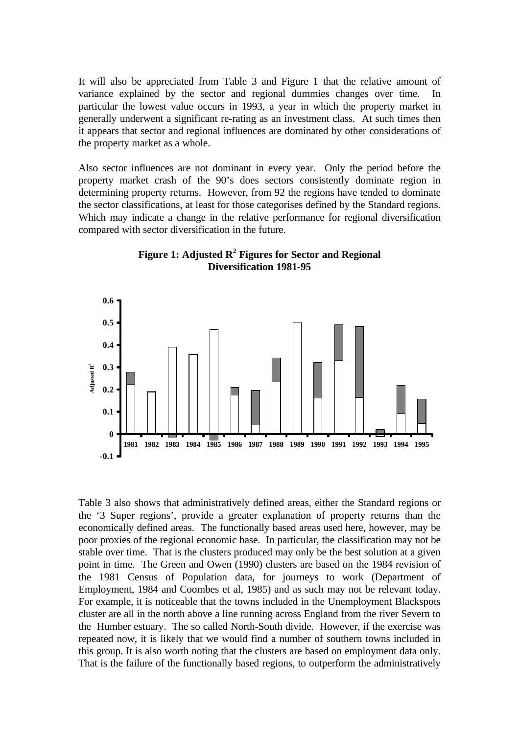It will also be appreciated from Table 3 and Figure 1 that the relative amount of variance explained by the sector and regional dummies changes over time. In particular the lowest value occurs in 1993, a year in which the property market in generally underwent a significant re-rating as an investment class. At such times then it appears that sector and regional influences are dominated by other considerations of the property market as a whole.

Also sector influences are not dominant in every year. Only the period before the property market crash of the 90's does sectors consistently dominate region in determining property returns. However, from 92 the regions have tended to dominate the sector classifications, at least for those categorises defined by the Standard regions. Which may indicate a change in the relative performance for regional diversification compared with sector diversification in the future.





Table 3 also shows that administratively defined areas, either the Standard regions or the '3 Super regions', provide a greater explanation of property returns than the economically defined areas. The functionally based areas used here, however, may be poor proxies of the regional economic base. In particular, the classification may not be stable over time. That is the clusters produced may only be the best solution at a given point in time. The Green and Owen (1990) clusters are based on the 1984 revision of the 1981 Census of Population data, for journeys to work (Department of Employment, 1984 and Coombes et al, 1985) and as such may not be relevant today. For example, it is noticeable that the towns included in the Unemployment Blackspots cluster are all in the north above a line running across England from the river Severn to the Humber estuary. The so called North-South divide. However, if the exercise was repeated now, it is likely that we would find a number of southern towns included in this group. It is also worth noting that the clusters are based on employment data only. That is the failure of the functionally based regions, to outperform the administratively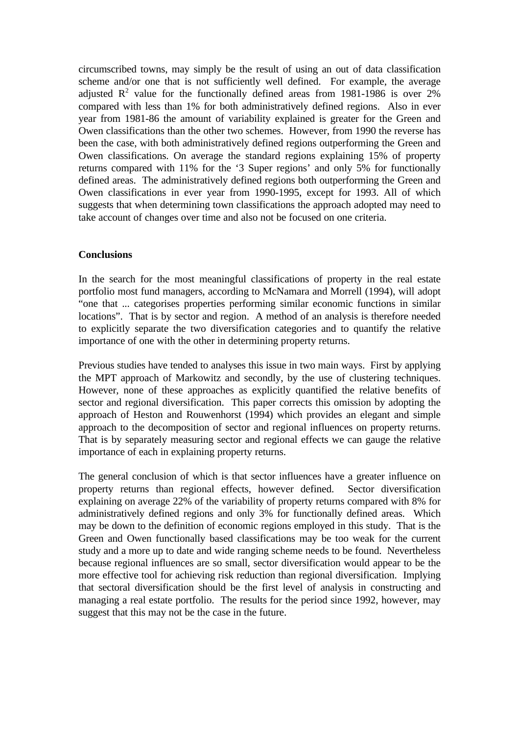circumscribed towns, may simply be the result of using an out of data classification scheme and/or one that is not sufficiently well defined. For example, the average adjusted  $\mathbb{R}^2$  value for the functionally defined areas from 1981-1986 is over 2% compared with less than 1% for both administratively defined regions. Also in ever year from 1981-86 the amount of variability explained is greater for the Green and Owen classifications than the other two schemes. However, from 1990 the reverse has been the case, with both administratively defined regions outperforming the Green and Owen classifications. On average the standard regions explaining 15% of property returns compared with 11% for the '3 Super regions' and only 5% for functionally defined areas. The administratively defined regions both outperforming the Green and Owen classifications in ever year from 1990-1995, except for 1993. All of which suggests that when determining town classifications the approach adopted may need to take account of changes over time and also not be focused on one criteria.

#### **Conclusions**

In the search for the most meaningful classifications of property in the real estate portfolio most fund managers, according to McNamara and Morrell (1994), will adopt "one that ... categorises properties performing similar economic functions in similar locations". That is by sector and region. A method of an analysis is therefore needed to explicitly separate the two diversification categories and to quantify the relative importance of one with the other in determining property returns.

Previous studies have tended to analyses this issue in two main ways. First by applying the MPT approach of Markowitz and secondly, by the use of clustering techniques. However, none of these approaches as explicitly quantified the relative benefits of sector and regional diversification. This paper corrects this omission by adopting the approach of Heston and Rouwenhorst (1994) which provides an elegant and simple approach to the decomposition of sector and regional influences on property returns. That is by separately measuring sector and regional effects we can gauge the relative importance of each in explaining property returns.

The general conclusion of which is that sector influences have a greater influence on property returns than regional effects, however defined. Sector diversification explaining on average 22% of the variability of property returns compared with 8% for administratively defined regions and only 3% for functionally defined areas. Which may be down to the definition of economic regions employed in this study. That is the Green and Owen functionally based classifications may be too weak for the current study and a more up to date and wide ranging scheme needs to be found. Nevertheless because regional influences are so small, sector diversification would appear to be the more effective tool for achieving risk reduction than regional diversification. Implying that sectoral diversification should be the first level of analysis in constructing and managing a real estate portfolio. The results for the period since 1992, however, may suggest that this may not be the case in the future.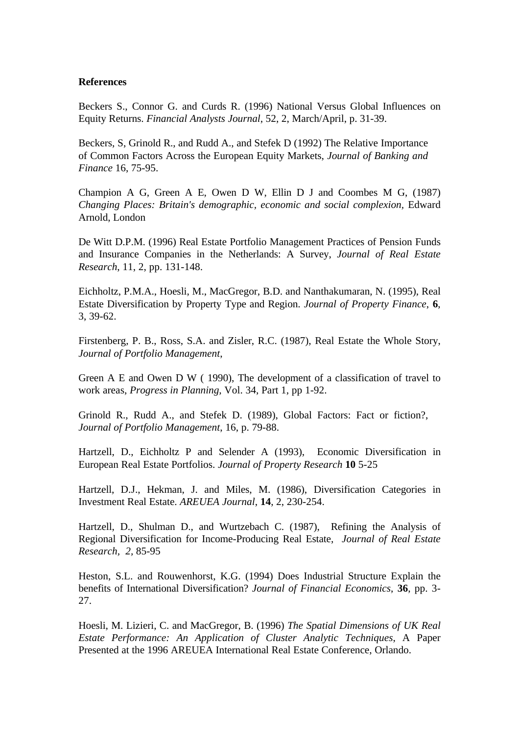#### **References**

Beckers S., Connor G. and Curds R. (1996) National Versus Global Influences on Equity Returns. *Financial Analysts Journal*, 52, 2, March/April, p. 31-39.

Beckers, S, Grinold R., and Rudd A., and Stefek D (1992) The Relative Importance of Common Factors Across the European Equity Markets, *Journal of Banking and Finance* 16, 75-95.

Champion A G, Green A E, Owen D W, Ellin D J and Coombes M G, (1987) *Changing Places: Britain's demographic, economic and social complexion,* Edward Arnold, London

De Witt D.P.M. (1996) Real Estate Portfolio Management Practices of Pension Funds and Insurance Companies in the Netherlands: A Survey, *Journal of Real Estate Research*, 11, 2, pp. 131-148.

Eichholtz, P.M.A., Hoesli, M., MacGregor, B.D. and Nanthakumaran, N. (1995), Real Estate Diversification by Property Type and Region. *Journal of Property Finance*, **6**, 3, 39-62.

Firstenberg, P. B., Ross, S.A. and Zisler, R.C. (1987), Real Estate the Whole Story, *Journal of Portfolio Management*,

Green A E and Owen D W ( 1990), The development of a classification of travel to work areas, *Progress in Planning,* Vol. 34, Part 1, pp 1-92.

Grinold R., Rudd A., and Stefek D. (1989), Global Factors: Fact or fiction?, *Journal of Portfolio Management*, 16, p. 79-88.

Hartzell, D., Eichholtz P and Selender A (1993), Economic Diversification in European Real Estate Portfolios. *Journal of Property Research* **10** 5-25

Hartzell, D.J., Hekman, J. and Miles, M. (1986), Diversification Categories in Investment Real Estate. *AREUEA Journal*, **14**, 2, 230-254.

Hartzell, D., Shulman D., and Wurtzebach C. (1987), Refining the Analysis of Regional Diversification for Income-Producing Real Estate, *Journal of Real Estate Research, 2,* 85-95

Heston, S.L. and Rouwenhorst, K.G. (1994) Does Industrial Structure Explain the benefits of International Diversification? *Journal of Financial Economics*, **36**, pp. 3- 27.

Hoesli, M. Lizieri, C. and MacGregor, B. (1996) *The Spatial Dimensions of UK Real Estate Performance: An Application of Cluster Analytic Techniques*, A Paper Presented at the 1996 AREUEA International Real Estate Conference, Orlando.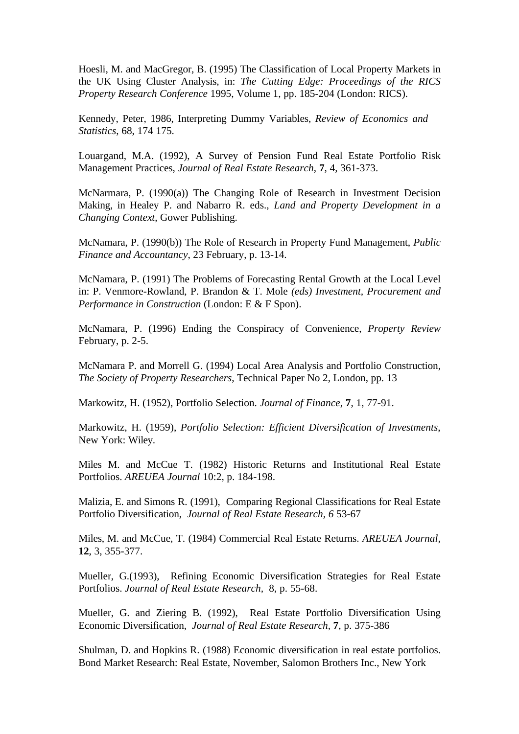Hoesli, M. and MacGregor, B. (1995) The Classification of Local Property Markets in the UK Using Cluster Analysis, in: *The Cutting Edge: Proceedings of the RICS Property Research Conference* 1995, Volume 1, pp. 185-204 (London: RICS).

Kennedy, Peter, 1986, Interpreting Dummy Variables, *Review of Economics and Statistics*, 68, 174 175.

Louargand, M.A. (1992), A Survey of Pension Fund Real Estate Portfolio Risk Management Practices, *Journal of Real Estate Research*, **7**, 4, 361-373.

McNarmara, P. (1990(a)) The Changing Role of Research in Investment Decision Making, in Healey P. and Nabarro R. eds., *Land and Property Development in a Changing Context*, Gower Publishing.

McNamara, P. (1990(b)) The Role of Research in Property Fund Management, *Public Finance and Accountancy*, 23 February, p. 13-14.

McNamara, P. (1991) The Problems of Forecasting Rental Growth at the Local Level in: P. Venmore-Rowland, P. Brandon & T. Mole *(eds) Investment, Procurement and Performance in Construction (London: E & F Spon).* 

McNamara, P. (1996) Ending the Conspiracy of Convenience, *Property Review* February, p. 2-5.

McNamara P. and Morrell G. (1994) Local Area Analysis and Portfolio Construction, *The Society of Property Researchers*, Technical Paper No 2, London, pp. 13

Markowitz, H. (1952), Portfolio Selection. *Journal of Finance*, **7**, 1, 77-91.

Markowitz, H. (1959), *Portfolio Selection: Efficient Diversification of Investments*, New York: Wiley.

Miles M. and McCue T. (1982) Historic Returns and Institutional Real Estate Portfolios. *AREUEA Journal* 10:2, p. 184-198.

Malizia, E. and Simons R. (1991), Comparing Regional Classifications for Real Estate Portfolio Diversification, *Journal of Real Estate Research, 6* 53-67

Miles, M. and McCue, T. (1984) Commercial Real Estate Returns. *AREUEA Journal,* **12**, 3, 355-377.

Mueller, G.(1993), Refining Economic Diversification Strategies for Real Estate Portfolios. *Journal of Real Estate Research,* 8, p. 55-68.

Mueller, G. and Ziering B. (1992), Real Estate Portfolio Diversification Using Economic Diversification, *Journal of Real Estate Research,* **7**, p. 375-386

Shulman, D. and Hopkins R. (1988) Economic diversification in real estate portfolios. Bond Market Research: Real Estate, November, Salomon Brothers Inc., New York